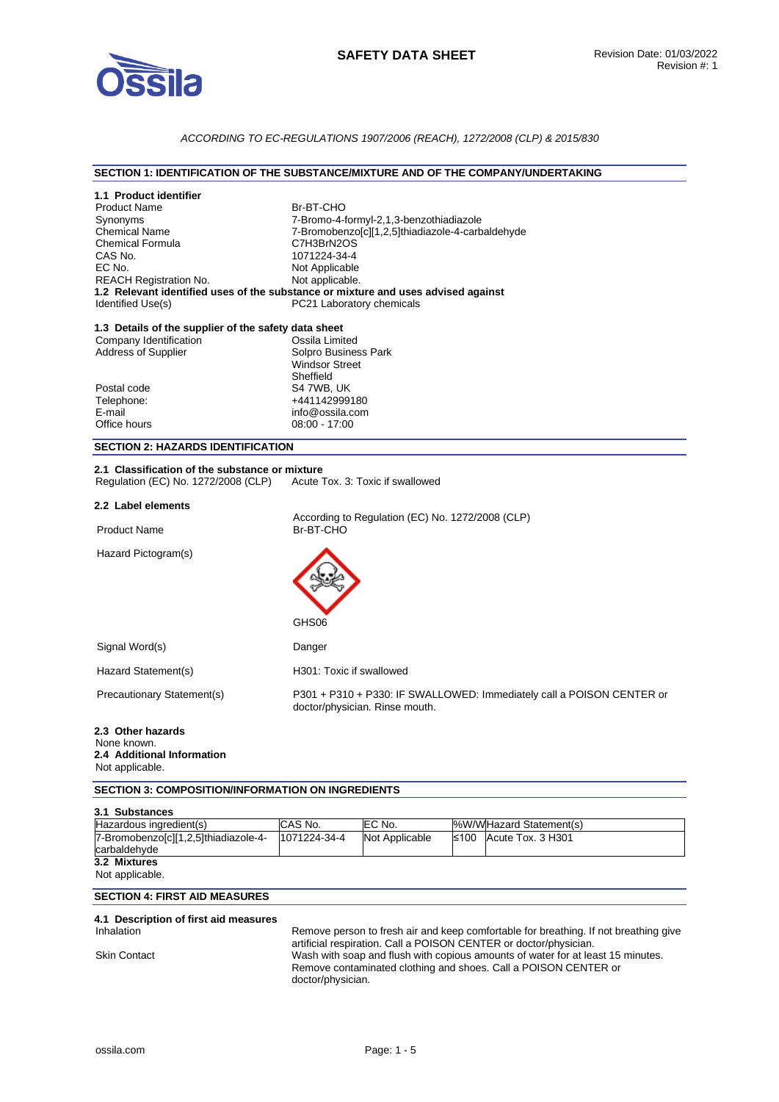

# *ACCORDING TO EC-REGULATIONS 1907/2006 (REACH), 1272/2008 (CLP) & 2015/830*

#### **SECTION 1: IDENTIFICATION OF THE SUBSTANCE/MIXTURE AND OF THE COMPANY/UNDERTAKING**

| 1.1 Product identifier<br><b>Product Name</b><br>Synonyms<br><b>Chemical Name</b><br><b>Chemical Formula</b><br>CAS No.<br>EC No.<br><b>REACH Registration No.</b><br>Identified Use(s) | Br-BT-CHO<br>7-Bromo-4-formyl-2,1,3-benzothiadiazole<br>7-Bromobenzo[c][1,2,5]thiadiazole-4-carbaldehyde<br>C7H3BrN2OS<br>1071224-34-4<br>Not Applicable<br>Not applicable.<br>1.2 Relevant identified uses of the substance or mixture and uses advised against<br>PC21 Laboratory chemicals |  |
|-----------------------------------------------------------------------------------------------------------------------------------------------------------------------------------------|-----------------------------------------------------------------------------------------------------------------------------------------------------------------------------------------------------------------------------------------------------------------------------------------------|--|
| 1.3 Details of the supplier of the safety data sheet<br>Company Identification<br><b>Address of Supplier</b>                                                                            | Ossila Limited<br>Solpro Business Park<br><b>Windsor Street</b><br>Sheffield                                                                                                                                                                                                                  |  |
| Postal code<br>Telephone:<br>E-mail<br>Office hours                                                                                                                                     | S4 7WB, UK<br>+441142999180<br>info@ossila.com<br>08:00 - 17:00                                                                                                                                                                                                                               |  |
| <b>SECTION 2: HAZARDS IDENTIFICATION</b>                                                                                                                                                |                                                                                                                                                                                                                                                                                               |  |
| 2.1 Classification of the substance or mixture<br>Regulation (EC) No. 1272/2008 (CLP)                                                                                                   | Acute Tox. 3: Toxic if swallowed                                                                                                                                                                                                                                                              |  |
| 2.2 Label elements                                                                                                                                                                      |                                                                                                                                                                                                                                                                                               |  |
| <b>Product Name</b>                                                                                                                                                                     | According to Regulation (EC) No. 1272/2008 (CLP)<br>Br-BT-CHO                                                                                                                                                                                                                                 |  |
| Hazard Pictogram(s)                                                                                                                                                                     | GHS06                                                                                                                                                                                                                                                                                         |  |
| Signal Word(s)                                                                                                                                                                          | Danger                                                                                                                                                                                                                                                                                        |  |
| Hazard Statement(s)                                                                                                                                                                     | H301: Toxic if swallowed                                                                                                                                                                                                                                                                      |  |
| <b>Precautionary Statement(s)</b>                                                                                                                                                       | P301 + P310 + P330: IF SWALLOWED: Immediately call a POISON CENTER or<br>doctor/physician. Rinse mouth.                                                                                                                                                                                       |  |
| 2.3 Other hazards<br>None known.<br>2.4 Additional Information<br>Not applicable.                                                                                                       |                                                                                                                                                                                                                                                                                               |  |
| <b>SECTION 3: COMPOSITION/INFORMATION ON INGREDIENTS</b>                                                                                                                                |                                                                                                                                                                                                                                                                                               |  |
| 3.1 Substances                                                                                                                                                                          |                                                                                                                                                                                                                                                                                               |  |
| Hazardous ingredient(s)                                                                                                                                                                 | CAS No.<br>EC No.<br>%W/WHazard Statement(s)                                                                                                                                                                                                                                                  |  |
| 7-Bromobenzo[c][1,2,5]thiadiazole-4-<br>carbaldehyde                                                                                                                                    | Acute Tox. 3 H301<br>1071224-34-4<br>Not Applicable<br>≤100                                                                                                                                                                                                                                   |  |
| 3.2 Mixtures<br>Not applicable.                                                                                                                                                         |                                                                                                                                                                                                                                                                                               |  |
| <b>SECTION 4: FIRST AID MEASURES</b>                                                                                                                                                    |                                                                                                                                                                                                                                                                                               |  |
| 4.1 Description of first aid measures                                                                                                                                                   |                                                                                                                                                                                                                                                                                               |  |
| Inhalation                                                                                                                                                                              | Remove person to fresh air and keep comfortable for breathing. If not breathing give                                                                                                                                                                                                          |  |
| <b>Skin Contact</b>                                                                                                                                                                     | artificial respiration. Call a POISON CENTER or doctor/physician.<br>Wash with soap and flush with copious amounts of water for at least 15 minutes.<br>Remove contaminated clothing and shoes. Call a POISON CENTER or                                                                       |  |

doctor/physician.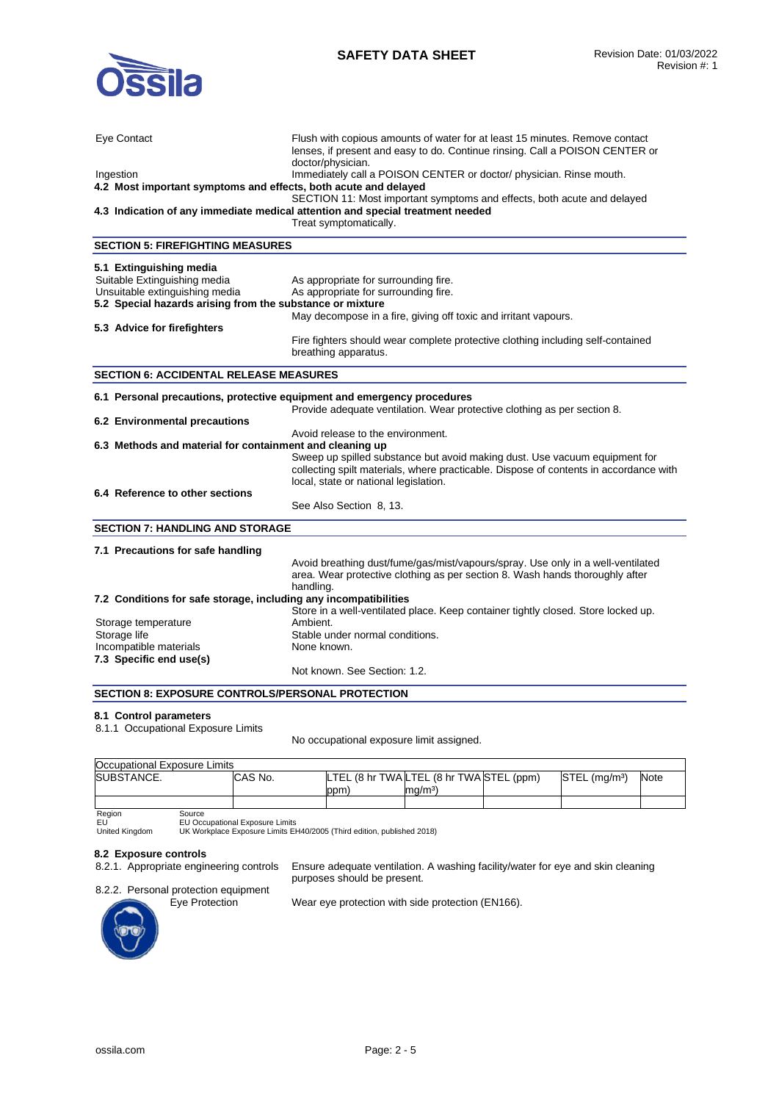

| Eye Contact                                                             | Flush with copious amounts of water for at least 15 minutes. Remove contact<br>lenses, if present and easy to do. Continue rinsing. Call a POISON CENTER or<br>doctor/physician. |
|-------------------------------------------------------------------------|----------------------------------------------------------------------------------------------------------------------------------------------------------------------------------|
| Ingestion                                                               | Immediately call a POISON CENTER or doctor/ physician. Rinse mouth.                                                                                                              |
| 4.2 Most important symptoms and effects, both acute and delayed         |                                                                                                                                                                                  |
|                                                                         | SECTION 11: Most important symptoms and effects, both acute and delayed                                                                                                          |
|                                                                         | 4.3 Indication of any immediate medical attention and special treatment needed                                                                                                   |
|                                                                         | Treat symptomatically.                                                                                                                                                           |
|                                                                         |                                                                                                                                                                                  |
| <b>SECTION 5: FIREFIGHTING MEASURES</b>                                 |                                                                                                                                                                                  |
| 5.1 Extinguishing media                                                 |                                                                                                                                                                                  |
| Suitable Extinguishing media                                            | As appropriate for surrounding fire.                                                                                                                                             |
| Unsuitable extinguishing media                                          | As appropriate for surrounding fire.                                                                                                                                             |
| 5.2 Special hazards arising from the substance or mixture               |                                                                                                                                                                                  |
|                                                                         | May decompose in a fire, giving off toxic and irritant vapours.                                                                                                                  |
| 5.3 Advice for firefighters                                             |                                                                                                                                                                                  |
|                                                                         | Fire fighters should wear complete protective clothing including self-contained                                                                                                  |
|                                                                         | breathing apparatus.                                                                                                                                                             |
|                                                                         |                                                                                                                                                                                  |
| <b>SECTION 6: ACCIDENTAL RELEASE MEASURES</b>                           |                                                                                                                                                                                  |
|                                                                         |                                                                                                                                                                                  |
| 6.1 Personal precautions, protective equipment and emergency procedures |                                                                                                                                                                                  |
|                                                                         | Provide adequate ventilation. Wear protective clothing as per section 8.                                                                                                         |
| 6.2 Environmental precautions                                           |                                                                                                                                                                                  |
|                                                                         | Avoid release to the environment.                                                                                                                                                |
| 6.3 Methods and material for containment and cleaning up                |                                                                                                                                                                                  |
|                                                                         | Sweep up spilled substance but avoid making dust. Use vacuum equipment for                                                                                                       |
|                                                                         | collecting spilt materials, where practicable. Dispose of contents in accordance with                                                                                            |
|                                                                         | local, state or national legislation.                                                                                                                                            |
| 6.4 Reference to other sections                                         |                                                                                                                                                                                  |
|                                                                         | See Also Section 8, 13.                                                                                                                                                          |
| <b>SECTION 7: HANDLING AND STORAGE</b>                                  |                                                                                                                                                                                  |
|                                                                         |                                                                                                                                                                                  |
| 7.1 Precautions for safe handling                                       |                                                                                                                                                                                  |
|                                                                         | Avoid breathing dust/fume/gas/mist/vapours/spray. Use only in a well-ventilated                                                                                                  |
|                                                                         | area. Wear protective clothing as per section 8. Wash hands thoroughly after                                                                                                     |
|                                                                         | handling.                                                                                                                                                                        |
| 7.2 Conditions for safe storage, including any incompatibilities        |                                                                                                                                                                                  |
|                                                                         | Store in a well-ventilated place. Keep container tightly closed. Store locked up.                                                                                                |
| Storage temperature                                                     | Ambient.                                                                                                                                                                         |
| Storage life                                                            | Stable under normal conditions.                                                                                                                                                  |
| Incompatible materials                                                  | None known.                                                                                                                                                                      |
| 7.3 Specific end use(s)                                                 |                                                                                                                                                                                  |
|                                                                         | Not known. See Section: 1.2.                                                                                                                                                     |
|                                                                         |                                                                                                                                                                                  |
| <b>SECTION 8: EXPOSURE CONTROLS/PERSONAL PROTECTION</b>                 |                                                                                                                                                                                  |

#### **8.1 Control parameters**

8.1.1 Occupational Exposure Limits

No occupational exposure limit assigned.

| Occupational Exposure Limits |         |     |                                          |                           |             |
|------------------------------|---------|-----|------------------------------------------|---------------------------|-------------|
| SUBSTANCE.                   | CAS No. |     | LTEL (8 hr TWA LTEL (8 hr TWA STEL (ppm) | STEL (ma/m <sup>3</sup> ) | <b>Note</b> |
|                              |         | ppm | ma/mª                                    |                           |             |
|                              |         |     |                                          |                           |             |

Region<br>EU<br>United Kingdom

EU EU Occupational Exposure Limits United Kingdom UK Workplace Exposure Limits EH40/2005 (Third edition, published 2018)

# 8.2 Exposure controls<br>8.2.1. Appropriate engineering controls

Ensure adequate ventilation. A washing facility/water for eye and skin cleaning purposes should be present.





Wear eye protection with side protection (EN166).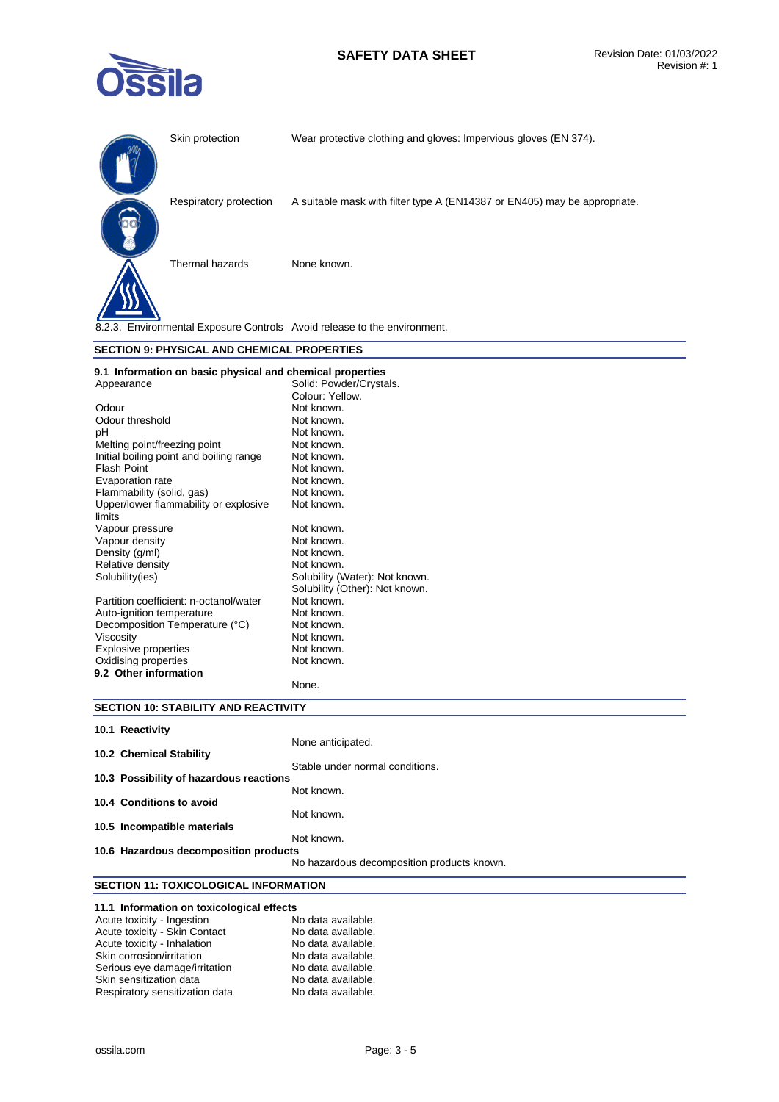

|                                       | Skin protection                                           | Wear protective clothing and gloves: Impervious gloves (EN 374).          |  |
|---------------------------------------|-----------------------------------------------------------|---------------------------------------------------------------------------|--|
|                                       | Respiratory protection                                    | A suitable mask with filter type A (EN14387 or EN405) may be appropriate. |  |
|                                       | Thermal hazards                                           | None known.                                                               |  |
|                                       |                                                           | 8.2.3. Environmental Exposure Controls Avoid release to the environment.  |  |
|                                       | <b>SECTION 9: PHYSICAL AND CHEMICAL PROPERTIES</b>        |                                                                           |  |
|                                       | 9.1 Information on basic physical and chemical properties |                                                                           |  |
|                                       |                                                           | Solid: Powder/Crystals.                                                   |  |
| Appearance                            |                                                           | Colour: Yellow.                                                           |  |
| Odour                                 |                                                           | Not known.                                                                |  |
| Odour threshold                       |                                                           | Not known.                                                                |  |
| pH                                    |                                                           | Not known.                                                                |  |
| Melting point/freezing point          |                                                           | Not known.                                                                |  |
|                                       | Initial boiling point and boiling range                   | Not known.                                                                |  |
| <b>Flash Point</b>                    |                                                           | Not known.                                                                |  |
| Evaporation rate                      |                                                           | Not known.                                                                |  |
| Flammability (solid, gas)             |                                                           | Not known.                                                                |  |
| Upper/lower flammability or explosive |                                                           | Not known.                                                                |  |
| limits                                |                                                           |                                                                           |  |
| Vapour pressure                       |                                                           | Not known.                                                                |  |
| Vapour density                        |                                                           | Not known.                                                                |  |
| Density (g/ml)                        |                                                           | Not known.                                                                |  |
| Relative density                      |                                                           | Not known.                                                                |  |
| Solubility(ies)                       |                                                           | Solubility (Water): Not known.                                            |  |
|                                       |                                                           | Solubility (Other): Not known.                                            |  |
|                                       | Partition coefficient: n-octanol/water                    | Not known.                                                                |  |
| Auto-ignition temperature             |                                                           | Not known.                                                                |  |
| Decomposition Temperature (°C)        |                                                           | Not known.                                                                |  |

Oxidising properties Not known. **9.2 Other information** 

# **SECTION 10: STABILITY AND REACTIVITY**

Viscosity **Not known**. Explosive properties Not known.

| 10.1 Reactivity                         |                                            |
|-----------------------------------------|--------------------------------------------|
| 10.2 Chemical Stability                 | None anticipated.                          |
|                                         | Stable under normal conditions.            |
| 10.3 Possibility of hazardous reactions |                                            |
|                                         | Not known.                                 |
| 10.4 Conditions to avoid                |                                            |
|                                         | Not known.                                 |
| 10.5 Incompatible materials             |                                            |
|                                         | Not known.                                 |
| 10.6 Hazardous decomposition products   |                                            |
|                                         | No hazardous decomposition products known. |

None.

# **SECTION 11: TOXICOLOGICAL INFORMATION**

| 11.1 Information on toxicological effects |                    |
|-------------------------------------------|--------------------|
| Acute toxicity - Ingestion                | No data available. |
| Acute toxicity - Skin Contact             | No data available. |
| Acute toxicity - Inhalation               | No data available. |
| Skin corrosion/irritation                 | No data available. |
| Serious eye damage/irritation             | No data available. |
| Skin sensitization data                   | No data available. |
| Respiratory sensitization data            | No data available. |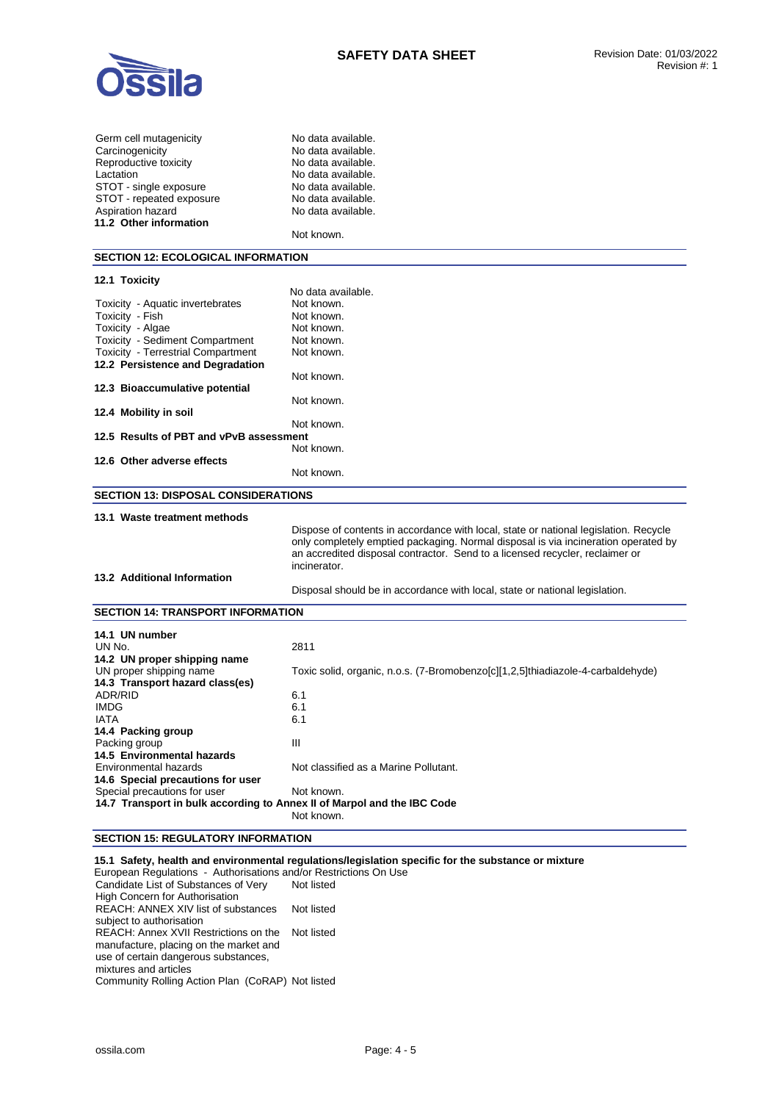

| Germ cell mutagenicity                                                  | No data available.                                                                           |
|-------------------------------------------------------------------------|----------------------------------------------------------------------------------------------|
| Carcinogenicity                                                         | No data available.                                                                           |
| Reproductive toxicity                                                   | No data available.                                                                           |
| Lactation                                                               | No data available.                                                                           |
| STOT - single exposure                                                  | No data available.                                                                           |
| STOT - repeated exposure                                                | No data available.                                                                           |
| Aspiration hazard                                                       | No data available.                                                                           |
| 11.2 Other information                                                  |                                                                                              |
|                                                                         | Not known.                                                                                   |
| <b>SECTION 12: ECOLOGICAL INFORMATION</b>                               |                                                                                              |
| 12.1 Toxicity                                                           |                                                                                              |
|                                                                         | No data available.                                                                           |
| Toxicity - Aquatic invertebrates                                        | Not known.                                                                                   |
| Toxicity - Fish                                                         | Not known.                                                                                   |
| Toxicity - Algae                                                        | Not known.                                                                                   |
| Toxicity - Sediment Compartment                                         | Not known.                                                                                   |
| Toxicity - Terrestrial Compartment                                      | Not known.                                                                                   |
| 12.2 Persistence and Degradation                                        |                                                                                              |
|                                                                         | Not known.                                                                                   |
| 12.3 Bioaccumulative potential                                          |                                                                                              |
|                                                                         | Not known.                                                                                   |
| 12.4 Mobility in soil                                                   |                                                                                              |
|                                                                         | Not known.                                                                                   |
| 12.5 Results of PBT and vPvB assessment                                 |                                                                                              |
|                                                                         | Not known.                                                                                   |
| 12.6 Other adverse effects                                              |                                                                                              |
|                                                                         | Not known.                                                                                   |
| <b>SECTION 13: DISPOSAL CONSIDERATIONS</b>                              |                                                                                              |
|                                                                         |                                                                                              |
| 13.1 Waste treatment methods                                            |                                                                                              |
|                                                                         | Dispose of contents in accordance with local, state or national legislation. Recycle         |
|                                                                         | only completely emptied packaging. Normal disposal is via incineration operated by           |
|                                                                         | an accredited disposal contractor. Send to a licensed recycler, reclaimer or<br>incinerator. |
| 13.2 Additional Information                                             |                                                                                              |
|                                                                         | Disposal should be in accordance with local, state or national legislation.                  |
|                                                                         |                                                                                              |
| <b>SECTION 14: TRANSPORT INFORMATION</b>                                |                                                                                              |
| 14.1 UN number                                                          |                                                                                              |
| UN No.                                                                  | 2811                                                                                         |
| 14.2 UN proper shipping name                                            |                                                                                              |
| UN proper shipping name                                                 | Toxic solid, organic, n.o.s. (7-Bromobenzo[c][1,2,5]thiadiazole-4-carbaldehyde)              |
| 14.3 Transport hazard class(es)                                         |                                                                                              |
| ADR/RID                                                                 | 6.1                                                                                          |
| <b>IMDG</b>                                                             | 6.1                                                                                          |
| <b>IATA</b>                                                             | 6.1                                                                                          |
| 14.4 Packing group                                                      |                                                                                              |
| Packing group                                                           | Ш                                                                                            |
| 14.5 Environmental hazards                                              |                                                                                              |
| Environmental hazards                                                   | Not classified as a Marine Pollutant.                                                        |
| 14.6 Special precautions for user                                       |                                                                                              |
| Special precautions for user                                            | Not known.                                                                                   |
| 14.7 Transport in bulk according to Annex II of Marpol and the IBC Code |                                                                                              |
|                                                                         | Not known.                                                                                   |

### **SECTION 15: REGULATORY INFORMATION**

**15.1 Safety, health and environmental regulations/legislation specific for the substance or mixture** 

European Regulations - Authorisations and/or Restrictions On Use Candidate List of Substances of Very High Concern for Authorisation Not listed REACH: ANNEX XIV list of substances subject to authorisation Not listed REACH: Annex XVII Restrictions on the manufacture, placing on the market and use of certain dangerous substances, mixtures and articles Not listed Community Rolling Action Plan (CoRAP) Not listed